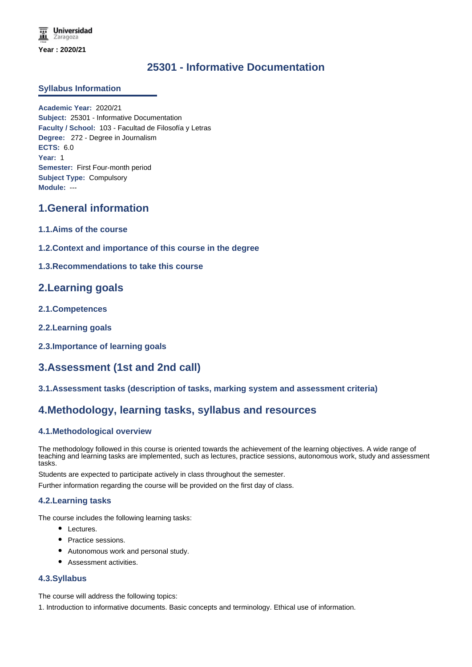**Universidad** Zaragoza **Year : 2020/21**

# **25301 - Informative Documentation**

#### **Syllabus Information**

**Academic Year:** 2020/21 **Subject:** 25301 - Informative Documentation **Faculty / School:** 103 - Facultad de Filosofía y Letras **Degree:** 272 - Degree in Journalism **ECTS:** 6.0 **Year:** 1 **Semester:** First Four-month period **Subject Type:** Compulsory **Module:** ---

## **1.General information**

- **1.1.Aims of the course**
- **1.2.Context and importance of this course in the degree**
- **1.3.Recommendations to take this course**

## **2.Learning goals**

- **2.1.Competences**
- **2.2.Learning goals**
- **2.3.Importance of learning goals**

# **3.Assessment (1st and 2nd call)**

**3.1.Assessment tasks (description of tasks, marking system and assessment criteria)**

## **4.Methodology, learning tasks, syllabus and resources**

### **4.1.Methodological overview**

The methodology followed in this course is oriented towards the achievement of the learning objectives. A wide range of teaching and learning tasks are implemented, such as lectures, practice sessions, autonomous work, study and assessment tasks.

Students are expected to participate actively in class throughout the semester.

Further information regarding the course will be provided on the first day of class.

#### **4.2.Learning tasks**

The course includes the following learning tasks:

- Lectures.
- Practice sessions.
- Autonomous work and personal study.
- Assessment activities.

#### **4.3.Syllabus**

The course will address the following topics:

1. Introduction to informative documents. Basic concepts and terminology. Ethical use of information.